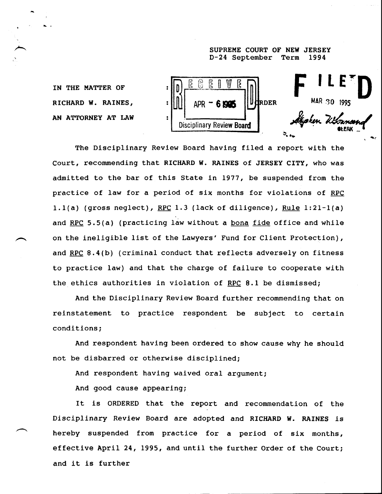## **SUPREME COURT OF NEW JERSEY D-24 September Term 1994**



The Disciplinary Review Board having filed a report with the Court, recommending that RICHARD W. RAINES of JERSEY CITY, who was admitted to the bar of this State in 1977, be suspended from the practice of law for a period of six months for violations of RPC 1.1(a) (gross neglect), RPC 1.3 (lack of diligence), Rule 1:21-1(a) and RPC 5.5(a) (practicing law without a bona fide office and while on the ineligible list of the Lawyers' Fund for Client Protection), and RPC 8.4(b) (criminal conduct that reflects adversely on fitness to practice law) and that the charge of failure to cooperate with the ethics authorities in violation of RPC 8.1 be dismissed;

And the Disciplinary Review Board further recommending that on reinstatement to practice respondent be subject to certain conditions;

And respondent having been ordered to show cause why he should not be disbarred or otherwise disciplined;

And respondent having waived oral argument;

And good cause appearing;

It is ORDERED that the report and recommendation of the Disciplinary Review Board are adopted and RICHARD W. RAINES is hereby suspended from practice for a period of six months, effective April 24, 1995, and until the further Order of the Court; and it is further